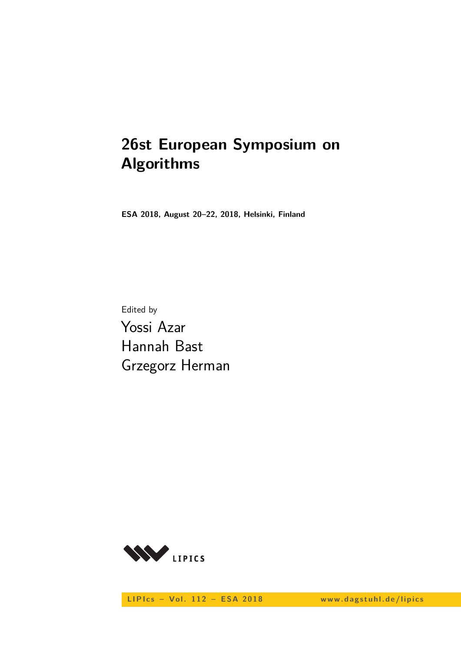# **26st European Symposium on Algorithms**

**ESA 2018, August 20–22, 2018, Helsinki, Finland**

Edited by Yossi Azar Hannah Bast Grzegorz Herman



LIPIcs - Vol. 112 - ESA 2018 www.dagstuhl.de/lipics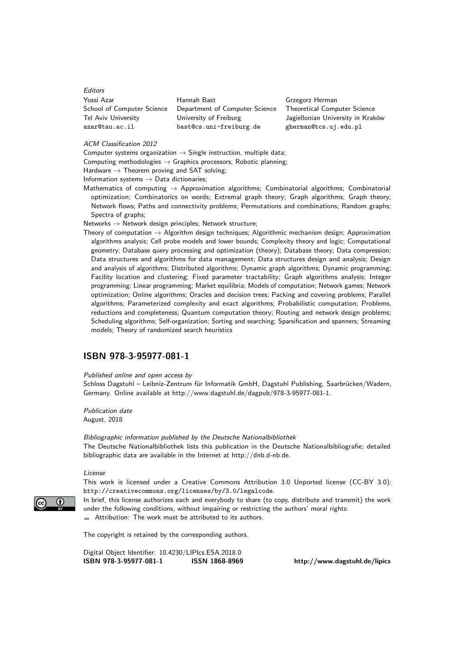Editors Yossi Azar **Hannah Bast** Grzegorz Herman Hannah Bast Grzegorz Herman School of Computer Science Department of Computer Science Theoretical Computer Science Tel Aviv University University of Freiburg Jagiellonian University in Kraków azar@tau.ac.il bast@cs.uni-freiburg.de gherman@tcs.uj.edu.pl

#### ACM Classification 2012

Computer systems organization  $\rightarrow$  Single instruction, multiple data;

Computing methodologies  $\rightarrow$  Graphics processors; Robotic planning;

Hardware  $\rightarrow$  Theorem proving and SAT solving;

Information systems  $\rightarrow$  Data dictionaries;

Mathematics of computing  $\rightarrow$  Approximation algorithms; Combinatorial algorithms; Combinatorial optimization; Combinatorics on words; Extremal graph theory; Graph algorithms; Graph theory; Network flows; Paths and connectivity problems; Permutations and combinations; Random graphs; Spectra of graphs;

Networks  $\rightarrow$  Network design principles; Network structure;

Theory of computation  $\rightarrow$  Algorithm design techniques; Algorithmic mechanism design; Approximation algorithms analysis; Cell probe models and lower bounds; Complexity theory and logic; Computational geometry; Database query processing and optimization (theory); Database theory; Data compression; Data structures and algorithms for data management; Data structures design and analysis; Design and analysis of algorithms; Distributed algorithms; Dynamic graph algorithms; Dynamic programming; Facility location and clustering; Fixed parameter tractability; Graph algorithms analysis; Integer programming; Linear programming; Market equilibria; Models of computation; Network games; Network optimization; Online algorithms; Oracles and decision trees; Packing and covering problems; Parallel algorithms; Parameterized complexity and exact algorithms; Probabilistic computation; Problems, reductions and completeness; Quantum computation theory; Routing and network design problems; Scheduling algorithms; Self-organization; Sorting and searching; Sparsification and spanners; Streaming models; Theory of randomized search heuristics

#### **[ISBN 978-3-95977-081-1](http://www.dagstuhl.de/dagpub/978-3-95977-081-1)**

Published online and open access by

Schloss Dagstuhl – Leibniz-Zentrum für Informatik GmbH, Dagstuhl Publishing, Saarbrücken/Wadern, Germany. Online available at [http://www.dagstuhl.de/dagpub/978-3-95977-081-1.](http://www.dagstuhl.de/dagpub/978-3-95977-081-1)

Publication date August, 2018

Bibliographic information published by the Deutsche Nationalbibliothek The Deutsche Nationalbibliothek lists this publication in the Deutsche Nationalbibliografie; detailed bibliographic data are available in the Internet at [http://dnb.d-nb.de.](http://dnb.d-nb.de)

#### License

This work is licensed under a Creative Commons Attribution 3.0 Unported license (CC-BY 3.0): http://creativecommons.org/licenses/by/3.0/legalcode.

In brief, this license authorizes each and everybody to share (to copy, distribute and transmit) the work under the following conditions, without impairing or restricting the authors' moral rights: Attribution: The work must be attributed to its authors.

The copyright is retained by the corresponding authors.

Digital Object Identifier: [10.4230/LIPIcs.ESA.2018.0](http://dx.doi.org/10.4230/LIPIcs.ESA.2018.0) **[ISBN 978-3-95977-081-1](http://www.dagstuhl.de/dagpub/978-3-95977-081-1) [ISSN 1868-8969](http://drops.dagstuhl.de/lipics)<http://www.dagstuhl.de/lipics>**

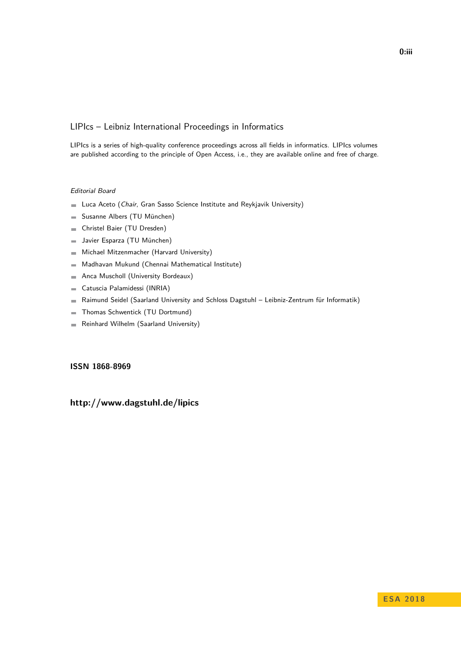### LIPIcs – Leibniz International Proceedings in Informatics

LIPIcs is a series of high-quality conference proceedings across all fields in informatics. LIPIcs volumes are published according to the principle of Open Access, i.e., they are available online and free of charge.

#### Editorial Board

- **Luca Aceto** (*Chair*, Gran Sasso Science Institute and Reykjavik University)
- Susanne Albers (TU München)  $\equiv$
- Christel Baier (TU Dresden)  $\sim$
- Javier Esparza (TU München)  $\equiv$
- Michael Mitzenmacher (Harvard University)  $\sim$
- Madhavan Mukund (Chennai Mathematical Institute)  $\blacksquare$
- Anca Muscholl (University Bordeaux)  $\blacksquare$
- Catuscia Palamidessi (INRIA)  $\overline{\phantom{a}}$
- Raimund Seidel (Saarland University and Schloss Dagstuhl Leibniz-Zentrum für Informatik)  $\blacksquare$
- Thomas Schwentick (TU Dortmund)  $\overline{a}$
- Reinhard Wilhelm (Saarland University)  $\sim$

#### **[ISSN 1868-8969](http://www.dagstuhl.de/dagpub/1868-8969)**

### **<http://www.dagstuhl.de/lipics>**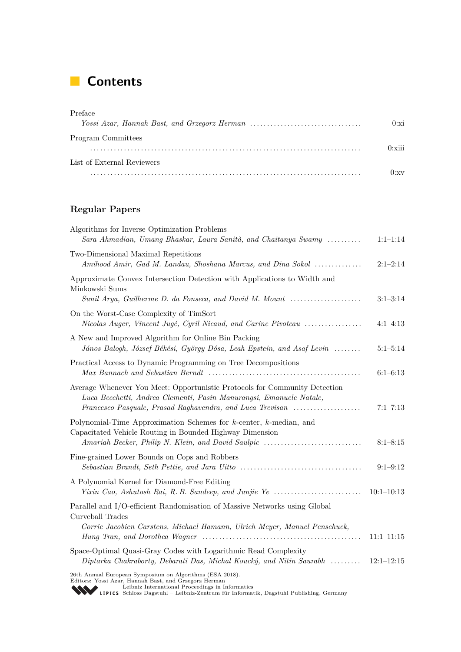## **Contents**

#### Preface

|                            | 0:xi         |
|----------------------------|--------------|
| Program Committees         |              |
|                            | 0:xiii       |
| List of External Reviewers |              |
|                            | $\mathbf{r}$ |

### **Regular Papers**

| Algorithms for Inverse Optimization Problems<br>Sara Ahmadian, Umang Bhaskar, Laura Sanità, and Chaitanya Swamy                                                                                                                                                         | $1:1-1:14$     |
|-------------------------------------------------------------------------------------------------------------------------------------------------------------------------------------------------------------------------------------------------------------------------|----------------|
| Two-Dimensional Maximal Repetitions<br>Amihood Amir, Gad M. Landau, Shoshana Marcus, and Dina Sokol                                                                                                                                                                     | $2:1-2:14$     |
| Approximate Convex Intersection Detection with Applications to Width and<br>Minkowski Sums<br>Sunil Arya, Guilherme D. da Fonseca, and David M. Mount                                                                                                                   | $3:1-3:14$     |
| On the Worst-Case Complexity of TimSort<br>Nicolas Auger, Vincent Jugé, Cyril Nicaud, and Carine Pivoteau                                                                                                                                                               | $4:1-4:13$     |
| A New and Improved Algorithm for Online Bin Packing<br>János Balogh, József Békési, György Dósa, Leah Epstein, and Asaf Levin                                                                                                                                           | $5:1 - 5:14$   |
| Practical Access to Dynamic Programming on Tree Decompositions                                                                                                                                                                                                          | $6:1 - 6:13$   |
| Average Whenever You Meet: Opportunistic Protocols for Community Detection<br>Luca Becchetti, Andrea Clementi, Pasin Manurangsi, Emanuele Natale,<br>Francesco Pasquale, Prasad Raghavendra, and Luca Trevisan                                                          | $7:1 - 7:13$   |
| Polynomial-Time Approximation Schemes for $k$ -center, $k$ -median, and<br>Capacitated Vehicle Routing in Bounded Highway Dimension<br>Amariah Becker, Philip N. Klein, and David Saulpic                                                                               | $8:1 - 8:15$   |
| Fine-grained Lower Bounds on Cops and Robbers                                                                                                                                                                                                                           | $9:1-9:12$     |
| A Polynomial Kernel for Diamond-Free Editing                                                                                                                                                                                                                            | $10:1-10:13$   |
| Parallel and I/O-efficient Randomisation of Massive Networks using Global<br>Curveball Trades<br>Corrie Jacobien Carstens, Michael Hamann, Ulrich Meyer, Manuel Penschuck,                                                                                              | $11:1 - 11:15$ |
| Space-Optimal Quasi-Gray Codes with Logarithmic Read Complexity<br>Diptarka Chakraborty, Debarati Das, Michal Koucký, and Nitin Saurabh                                                                                                                                 | $12:1-12:15$   |
| 26th Annual European Symposium on Algorithms (ESA 2018).<br>Editors: Yossi Azar, Hannah Bast, and Grzegorz Herman<br>Leibniz International Proceedings in Informatics<br><b>WEIFICS</b> Schloss Dagstuhl – Leibniz-Zentrum für Informatik, Dagstuhl Publishing, Germany |                |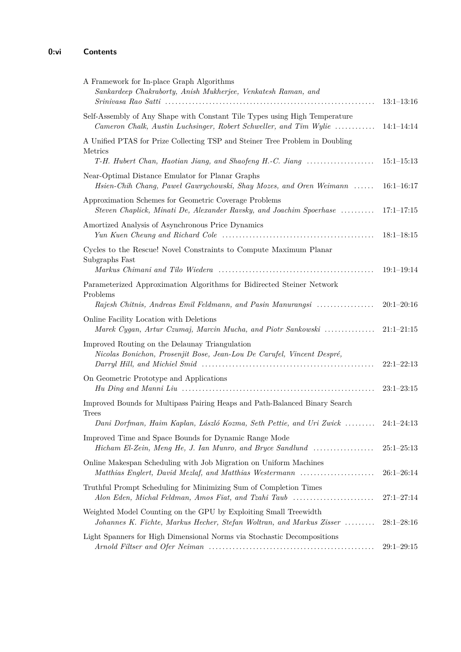| A Framework for In-place Graph Algorithms<br>Sankardeep Chakraborty, Anish Mukherjee, Venkatesh Raman, and                                           | $13:1-13:16$   |
|------------------------------------------------------------------------------------------------------------------------------------------------------|----------------|
| Self-Assembly of Any Shape with Constant Tile Types using High Temperature<br>Cameron Chalk, Austin Luchsinger, Robert Schweller, and Tim Wylie      | $14:1 - 14:14$ |
| A Unified PTAS for Prize Collecting TSP and Steiner Tree Problem in Doubling<br>Metrics<br>T-H. Hubert Chan, Haotian Jiang, and Shaofeng H.-C. Jiang | $15:1 - 15:13$ |
| Near-Optimal Distance Emulator for Planar Graphs<br>Hsien-Chih Chang, Pawel Gawrychowski, Shay Mozes, and Oren Weimann                               | $16:1-16:17$   |
| Approximation Schemes for Geometric Coverage Problems<br>Steven Chaplick, Minati De, Alexander Ravsky, and Joachim Spoerhase                         | $17:1 - 17:15$ |
| Amortized Analysis of Asynchronous Price Dynamics                                                                                                    | $18:1-18:15$   |
| Cycles to the Rescue! Novel Constraints to Compute Maximum Planar<br>Subgraphs Fast                                                                  | $19:1 - 19:14$ |
| Parameterized Approximation Algorithms for Bidirected Steiner Network<br>Problems<br>Rajesh Chitnis, Andreas Emil Feldmann, and Pasin Manurangsi     | $20:1 - 20:16$ |
| Online Facility Location with Deletions<br>Marek Cygan, Artur Czumaj, Marcin Mucha, and Piotr Sankowski                                              | $21:1 - 21:15$ |
| Improved Routing on the Delaunay Triangulation<br>Nicolas Bonichon, Prosenjit Bose, Jean-Lou De Carufel, Vincent Despré,                             | $22:1-22:13$   |
| On Geometric Prototype and Applications                                                                                                              | $23:1 - 23:15$ |
| Improved Bounds for Multipass Pairing Heaps and Path-Balanced Binary Search<br><b>Trees</b>                                                          |                |
| Dani Dorfman, Haim Kaplan, László Kozma, Seth Pettie, and Uri Zwick  24:1–24:13                                                                      |                |
| Improved Time and Space Bounds for Dynamic Range Mode<br>Hicham El-Zein, Meng He, J. Ian Munro, and Bryce Sandlund                                   | $25:1 - 25:13$ |
| Online Makespan Scheduling with Job Migration on Uniform Machines<br>Matthias Englert, David Mezlaf, and Matthias Westermann                         | $26:1-26:14$   |
| Truthful Prompt Scheduling for Minimizing Sum of Completion Times<br>Alon Eden, Michal Feldman, Amos Fiat, and Tzahi Taub                            | $27:1 - 27:14$ |
| Weighted Model Counting on the GPU by Exploiting Small Treewidth<br>Johannes K. Fichte, Markus Hecher, Stefan Woltran, and Markus Zisser             | $28:1-28:16$   |
| Light Spanners for High Dimensional Norms via Stochastic Decompositions                                                                              | $29:1-29:15$   |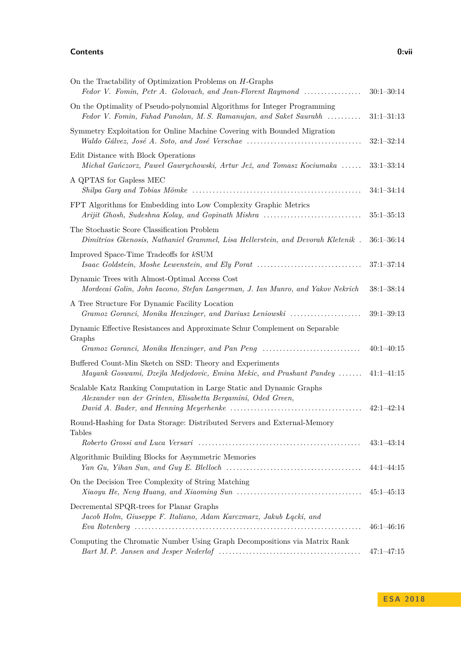#### **Contents 0:vii**

| On the Tractability of Optimization Problems on H-Graphs<br>Fedor V. Fomin, Petr A. Golovach, and Jean-Florent Raymond                          | $30:1 - 30:14$ |
|-------------------------------------------------------------------------------------------------------------------------------------------------|----------------|
| On the Optimality of Pseudo-polynomial Algorithms for Integer Programming<br>Fedor V. Fomin, Fahad Panolan, M.S. Ramanujan, and Saket Saurabh   | $31:1 - 31:13$ |
| Symmetry Exploitation for Online Machine Covering with Bounded Migration<br>Waldo Gálvez, José A. Soto, and José Verschae                       | $32:1 - 32:14$ |
| Edit Distance with Block Operations<br>Michal Gańczorz, Paweł Gawrychowski, Artur Jeż, and Tomasz Kociumaka                                     | $33:1-33:14$   |
| A QPTAS for Gapless MEC                                                                                                                         | $34:1 - 34:14$ |
| FPT Algorithms for Embedding into Low Complexity Graphic Metrics<br>Arijit Ghosh, Sudeshna Kolay, and Gopinath Mishra                           | $35:1 - 35:13$ |
| The Stochastic Score Classification Problem<br>$\label{lem:1} Dimitrios~Gkenosis,~Mathaniel~Grammel,~Lisa~Hellerstein,~and~Devorah~Kletenik~~.$ | $36:1 - 36:14$ |
| Improved Space-Time Tradeoffs for kSUM<br>Isaac Goldstein, Moshe Lewenstein, and Ely Porat                                                      | $37:1 - 37:14$ |
| Dynamic Trees with Almost-Optimal Access Cost<br>Mordecai Golin, John Iacono, Stefan Langerman, J. Ian Munro, and Yakov Nekrich                 | $38:1 - 38:14$ |
| A Tree Structure For Dynamic Facility Location<br>Gramoz Goranci, Monika Henzinger, and Dariusz Leniowski                                       | $39:1 - 39:13$ |
| Dynamic Effective Resistances and Approximate Schur Complement on Separable<br>Graphs<br>Gramoz Goranci, Monika Henzinger, and Pan Peng         | $40:1-40:15$   |
| Buffered Count-Min Sketch on SSD: Theory and Experiments<br>Mayank Goswami, Dzejla Medjedovic, Emina Mekic, and Prashant Pandey                 | $41:1 - 41:15$ |
| Scalable Katz Ranking Computation in Large Static and Dynamic Graphs<br>Alexander van der Grinten, Elisabetta Bergamini, Oded Green,            | $42:1 - 42:14$ |
| Round-Hashing for Data Storage: Distributed Servers and External-Memory<br><b>Tables</b>                                                        |                |
|                                                                                                                                                 | $43:1-43:14$   |
| Algorithmic Building Blocks for Asymmetric Memories                                                                                             | $44:1 - 44:15$ |
| On the Decision Tree Complexity of String Matching                                                                                              | $45:1 - 45:13$ |
| Decremental SPQR-trees for Planar Graphs<br>Jacob Holm, Giuseppe F. Italiano, Adam Karczmarz, Jakub Łącki, and                                  | $46:1 - 46:16$ |
| Computing the Chromatic Number Using Graph Decompositions via Matrix Rank                                                                       | $47:1 - 47:15$ |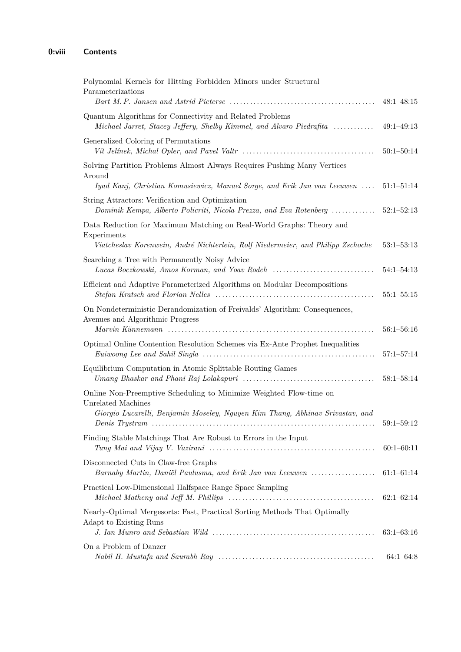| Polynomial Kernels for Hitting Forbidden Minors under Structural<br>Parameterizations                                                                                                       | $48:1 - 48:15$ |
|---------------------------------------------------------------------------------------------------------------------------------------------------------------------------------------------|----------------|
| Quantum Algorithms for Connectivity and Related Problems<br>Michael Jarret, Stacey Jeffery, Shelby Kimmel, and Alvaro Piedrafita                                                            | $49:1 - 49:13$ |
| Generalized Coloring of Permutations                                                                                                                                                        | $50:1 - 50:14$ |
| Solving Partition Problems Almost Always Requires Pushing Many Vertices<br>Around                                                                                                           |                |
| Iyad Kanj, Christian Komusiewicz, Manuel Sorge, and Erik Jan van Leeuwen                                                                                                                    | $51:1 - 51:14$ |
| String Attractors: Verification and Optimization<br>Dominik Kempa, Alberto Policriti, Nicola Prezza, and Eva Rotenberg                                                                      | $52:1 - 52:13$ |
| Data Reduction for Maximum Matching on Real-World Graphs: Theory and<br>Experiments                                                                                                         |                |
| Viatcheslav Korenwein, André Nichterlein, Rolf Niedermeier, and Philipp Zschoche                                                                                                            | $53:1 - 53:13$ |
| Searching a Tree with Permanently Noisy Advice<br>Lucas Boczkowski, Amos Korman, and Yoav Rodeh                                                                                             | $54:1 - 54:13$ |
| Efficient and Adaptive Parameterized Algorithms on Modular Decompositions                                                                                                                   | $55:1 - 55:15$ |
| On Nondeterministic Derandomization of Freivalds' Algorithm: Consequences,<br>Avenues and Algorithmic Progress                                                                              | $56:1 - 56:16$ |
| Optimal Online Contention Resolution Schemes via Ex-Ante Prophet Inequalities                                                                                                               | $57:1 - 57:14$ |
| Equilibrium Computation in Atomic Splittable Routing Games                                                                                                                                  | $58:1 - 58:14$ |
| Online Non-Preemptive Scheduling to Minimize Weighted Flow-time on<br>Unrelated Machines<br>Giorgio Lucarelli, Benjamin Moseley, Nguyen Kim Thang, Abhinav Srivastav, and<br>Denis Trystram | $59:1 - 59:12$ |
| Finding Stable Matchings That Are Robust to Errors in the Input                                                                                                                             | $60:1 - 60:11$ |
| Disconnected Cuts in Claw-free Graphs<br>Barnaby Martin, Daniël Paulusma, and Erik Jan van Leeuwen                                                                                          | $61:1-61:14$   |
| Practical Low-Dimensional Halfspace Range Space Sampling                                                                                                                                    | $62:1-62:14$   |
| Nearly-Optimal Mergesorts: Fast, Practical Sorting Methods That Optimally<br>Adapt to Existing Runs                                                                                         | $63:1-63:16$   |
| On a Problem of Danzer<br>Nabil H. Mustafa and Saurabh Ray $\ldots \ldots \ldots \ldots \ldots \ldots \ldots \ldots \ldots \ldots \ldots \ldots \ldots$                                     | $64:1 - 64:8$  |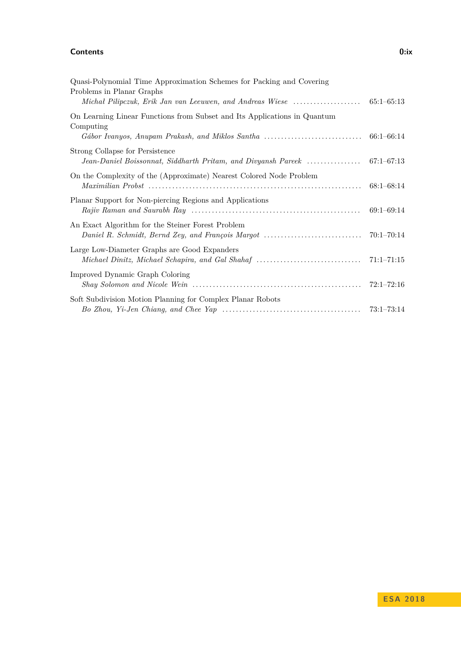#### **Contents 0:ix**

| Quasi-Polynomial Time Approximation Schemes for Packing and Covering<br>Problems in Planar Graphs<br>Michal Pilipczuk, Erik Jan van Leeuwen, and Andreas Wiese | $65:1-65:13$   |
|----------------------------------------------------------------------------------------------------------------------------------------------------------------|----------------|
| On Learning Linear Functions from Subset and Its Applications in Quantum<br>Computing<br>Gábor Ivanyos, Anupam Prakash, and Miklos Santha                      | $66:1 - 66:14$ |
| Strong Collapse for Persistence<br>Jean-Daniel Boissonnat, Siddharth Pritam, and Divyansh Pareek                                                               | $67:1 - 67:13$ |
| On the Complexity of the (Approximate) Nearest Colored Node Problem                                                                                            | $68:1-68:14$   |
| Planar Support for Non-piercing Regions and Applications                                                                                                       | $69:1-69:14$   |
| An Exact Algorithm for the Steiner Forest Problem<br>Daniel R. Schmidt, Bernd Zey, and François Margot                                                         | $70:1 - 70:14$ |
| Large Low-Diameter Graphs are Good Expanders<br>Michael Dinitz, Michael Schapira, and Gal Shahaf                                                               | $71:1 - 71:15$ |
| Improved Dynamic Graph Coloring                                                                                                                                | $72:1 - 72:16$ |
| Soft Subdivision Motion Planning for Complex Planar Robots                                                                                                     | 73:1–73:14     |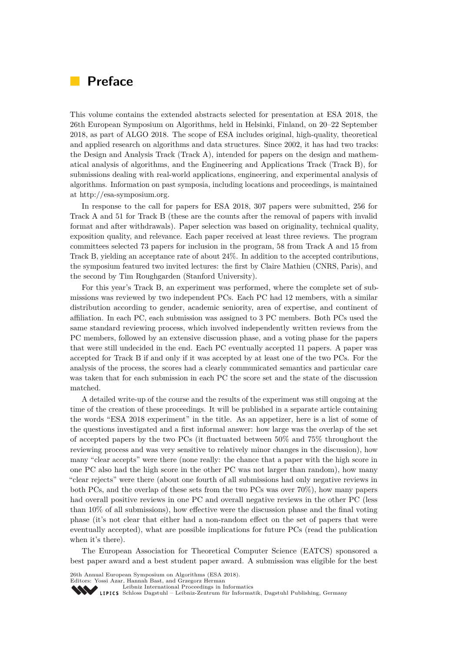### **Preface**

This volume contains the extended abstracts selected for presentation at ESA 2018, the 26th European Symposium on Algorithms, held in Helsinki, Finland, on 20–22 September 2018, as part of ALGO 2018. The scope of ESA includes original, high-quality, theoretical and applied research on algorithms and data structures. Since 2002, it has had two tracks: the Design and Analysis Track (Track A), intended for papers on the design and mathematical analysis of algorithms, and the Engineering and Applications Track (Track B), for submissions dealing with real-world applications, engineering, and experimental analysis of algorithms. Information on past symposia, including locations and proceedings, is maintained at http://esa-symposium.org.

In response to the call for papers for ESA 2018, 307 papers were submitted, 256 for Track A and 51 for Track B (these are the counts after the removal of papers with invalid format and after withdrawals). Paper selection was based on originality, technical quality, exposition quality, and relevance. Each paper received at least three reviews. The program committees selected 73 papers for inclusion in the program, 58 from Track A and 15 from Track B, yielding an acceptance rate of about 24%. In addition to the accepted contributions, the symposium featured two invited lectures: the first by Claire Mathieu (CNRS, Paris), and the second by Tim Roughgarden (Stanford University).

For this year's Track B, an experiment was performed, where the complete set of submissions was reviewed by two independent PCs. Each PC had 12 members, with a similar distribution according to gender, academic seniority, area of expertise, and continent of affiliation. In each PC, each submission was assigned to 3 PC members. Both PCs used the same standard reviewing process, which involved independently written reviews from the PC members, followed by an extensive discussion phase, and a voting phase for the papers that were still undecided in the end. Each PC eventually accepted 11 papers. A paper was accepted for Track B if and only if it was accepted by at least one of the two PCs. For the analysis of the process, the scores had a clearly communicated semantics and particular care was taken that for each submission in each PC the score set and the state of the discussion matched.

A detailed write-up of the course and the results of the experiment was still ongoing at the time of the creation of these proceedings. It will be published in a separate article containing the words "ESA 2018 experiment" in the title. As an appetizer, here is a list of some of the questions investigated and a first informal answer: how large was the overlap of the set of accepted papers by the two PCs (it fluctuated between 50% and 75% throughout the reviewing process and was very sensitive to relatively minor changes in the discussion), how many "clear accepts" were there (none really: the chance that a paper with the high score in one PC also had the high score in the other PC was not larger than random), how many "clear rejects" were there (about one fourth of all submissions had only negative reviews in both PCs, and the overlap of these sets from the two PCs was over 70%), how many papers had overall positive reviews in one PC and overall negative reviews in the other PC (less than 10% of all submissions), how effective were the discussion phase and the final voting phase (it's not clear that either had a non-random effect on the set of papers that were eventually accepted), what are possible implications for future PCs (read the publication when it's there).

The European Association for Theoretical Computer Science (EATCS) sponsored a best paper award and a best student paper award. A submission was eligible for the best

26th Annual European Symposium on Algorithms (ESA 2018). Editors: Yossi Azar, Hannah Bast, and Grzegorz Herman [Leibniz International Proceedings in Informatics](http://www.dagstuhl.de/lipics/)

[Schloss Dagstuhl – Leibniz-Zentrum für Informatik, Dagstuhl Publishing, Germany](http://www.dagstuhl.de)<br>
1991 - Lipit Schloss Dagstuhl – Leibniz-Zentrum für Informatik, Dagstuhl Publishing, Germany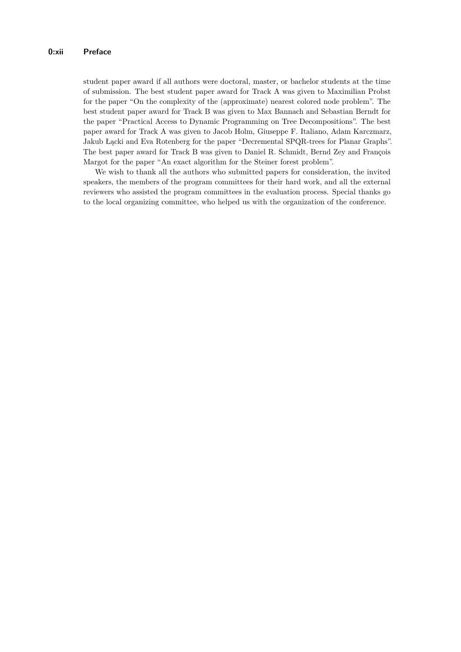student paper award if all authors were doctoral, master, or bachelor students at the time of submission. The best student paper award for Track A was given to Maximilian Probst for the paper "On the complexity of the (approximate) nearest colored node problem". The best student paper award for Track B was given to Max Bannach and Sebastian Berndt for the paper "Practical Access to Dynamic Programming on Tree Decompositions". The best paper award for Track A was given to Jacob Holm, Giuseppe F. Italiano, Adam Karczmarz, Jakub Łącki and Eva Rotenberg for the paper "Decremental SPQR-trees for Planar Graphs". The best paper award for Track B was given to Daniel R. Schmidt, Bernd Zey and François Margot for the paper "An exact algorithm for the Steiner forest problem".

We wish to thank all the authors who submitted papers for consideration, the invited speakers, the members of the program committees for their hard work, and all the external reviewers who assisted the program committees in the evaluation process. Special thanks go to the local organizing committee, who helped us with the organization of the conference.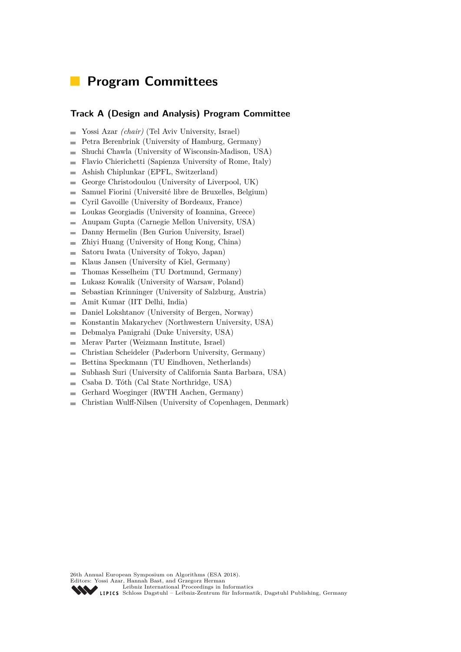### **Program Committees**

#### **Track A (Design and Analysis) Program Committee**

- Yossi Azar *(chair)* (Tel Aviv University, Israel) Ē
- Petra Berenbrink (University of Hamburg, Germany)  $\overline{a}$
- Shuchi Chawla (University of Wisconsin-Madison, USA) ÷
- Flavio Chierichetti (Sapienza University of Rome, Italy)  $\overline{a}$
- Ashish Chiplunkar (EPFL, Switzerland)  $\overline{a}$
- George Christodoulou (University of Liverpool, UK)  $\overline{\phantom{a}}$
- Samuel Fiorini (Université libre de Bruxelles, Belgium) ÷
- Cyril Gavoille (University of Bordeaux, France)  $\overline{\phantom{a}}$
- Loukas Georgiadis (University of Ioannina, Greece)  $\overline{\phantom{a}}$
- Anupam Gupta (Carnegie Mellon University, USA) ÷
- Danny Hermelin (Ben Gurion University, Israel)  $\overline{a}$
- Zhiyi Huang (University of Hong Kong, China)  $\overline{a}$
- Satoru Iwata (University of Tokyo, Japan) ÷
- Klaus Jansen (University of Kiel, Germany)  $\overline{a}$
- Thomas Kesselheim (TU Dortmund, Germany) ٠
- Lukasz Kowalik (University of Warsaw, Poland) Ē.
- Sebastian Krinninger (University of Salzburg, Austria) Ē.
- Amit Kumar (IIT Delhi, India)  $\overline{a}$
- Daniel Lokshtanov (University of Bergen, Norway)  $\overline{a}$
- Konstantin Makarychev (Northwestern University, USA)  $\overline{\phantom{a}}$
- Debmalya Panigrahi (Duke University, USA)  $\overline{a}$
- Merav Parter (Weizmann Institute, Israel) Ē
- Christian Scheideler (Paderborn University, Germany)  $\overline{a}$
- Bettina Speckmann (TU Eindhoven, Netherlands)  $\overline{\phantom{a}}$
- Subhash Suri (University of California Santa Barbara, USA)  $\overline{\phantom{a}}$
- Csaba D. Tóth (Cal State Northridge, USA)  $\overline{\phantom{a}}$
- Gerhard Woeginger (RWTH Aachen, Germany) Ē.
- Christian Wulff-Nilsen (University of Copenhagen, Denmark) ÷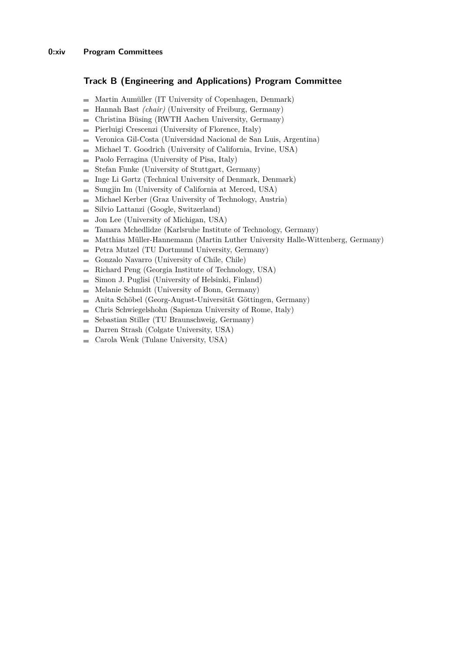### **Track B (Engineering and Applications) Program Committee**

- Martin Aumüller (IT University of Copenhagen, Denmark)  $\sim$
- Hannah Bast *(chair)* (University of Freiburg, Germany)  $\overline{\phantom{a}}$
- Christina Büsing (RWTH Aachen University, Germany)  $\blacksquare$
- Pierluigi Crescenzi (University of Florence, Italy)
- Veronica Gil-Costa (Universidad Nacional de San Luis, Argentina)  $\overline{\phantom{a}}$
- Michael T. Goodrich (University of California, Irvine, USA)  $\blacksquare$
- Paolo Ferragina (University of Pisa, Italy)  $\blacksquare$
- Stefan Funke (University of Stuttgart, Germany)  $\equiv$
- Inge Li Gørtz (Technical University of Denmark, Denmark)  $\overline{\phantom{a}}$
- Sungjin Im (University of California at Merced, USA)  $\blacksquare$
- Michael Kerber (Graz University of Technology, Austria)  $\blacksquare$
- Silvio Lattanzi (Google, Switzerland)  $\overline{\phantom{a}}$
- Jon Lee (University of Michigan, USA)  $\equiv$
- Tamara Mchedlidze (Karlsruhe Institute of Technology, Germany)  $\overline{a}$
- Matthias Müller-Hannemann (Martin Luther University Halle-Wittenberg, Germany)  $\blacksquare$
- Petra Mutzel (TU Dortmund University, Germany)  $\blacksquare$
- Gonzalo Navarro (University of Chile, Chile)
- Richard Peng (Georgia Institute of Technology, USA)  $\rightarrow$
- Simon J. Puglisi (University of Helsinki, Finland)  $\blacksquare$
- Melanie Schmidt (University of Bonn, Germany)  $\blacksquare$
- Anita Schöbel (Georg-August-Universität Göttingen, Germany)  $\equiv$
- Chris Schwiegelshohn (Sapienza University of Rome, Italy)  $\overline{\phantom{a}}$
- Sebastian Stiller (TU Braunschweig, Germany)  $\sim$
- Darren Strash (Colgate University, USA)  $\sim$
- Carola Wenk (Tulane University, USA) $\equiv$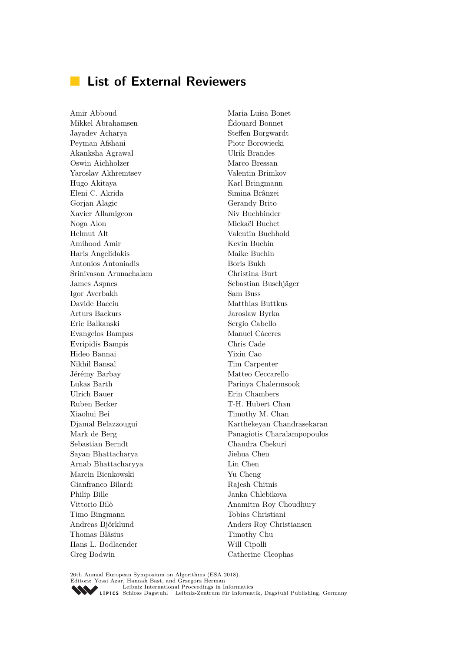## **List of External Reviewers**

Amir Abboud Mikkel Abrahamsen Jayadev Acharya Peyman Afshani Akanksha Agrawal Oswin Aichholzer Yaroslav Akhremtsev Hugo Akitaya Eleni C. Akrida Gorjan Alagic Xavier Allamigeon Noga Alon Helmut Alt Amihood Amir Haris Angelidakis Antonios Antoniadis Srinivasan Arunachalam James Aspnes Igor Averbakh Davide Bacciu Arturs Backurs Eric Balkanski Evangelos Bampas Evripidis Bampis Hideo Bannai Nikhil Bansal Jérémy Barbay Lukas Barth Ulrich Bauer Ruben Becker Xiaohui Bei Djamal Belazzougui Mark de Berg Sebastian Berndt Sayan Bhattacharya Arnab Bhattacharyya Marcin Bienkowski Gianfranco Bilardi Philip Bille Vittorio Bilò Timo Bingmann Andreas Björklund Thomas Bläsius Hans L. Bodlaender Greg Bodwin

Maria Luisa Bonet Édouard Bonnet Steffen Borgwardt Piotr Borowiecki Ulrik Brandes Marco Bressan Valentin Brimkov Karl Bringmann Simina Brânzei Gerandy Brito Niv Buchbinder Mickaël Buchet Valentin Buchhold Kevin Buchin Maike Buchin Boris Bukh Christina Burt Sebastian Buschjäger Sam Buss Matthias Buttkus Jaroslaw Byrka Sergio Cabello Manuel Cáceres Chris Cade Yixin Cao Tim Carpenter Matteo Ceccarello Parinya Chalermsook Erin Chambers T-H. Hubert Chan Timothy M. Chan Karthekeyan Chandrasekaran Panagiotis Charalampopoulos Chandra Chekuri Jiehua Chen Lin Chen Yu Cheng Rajesh Chitnis Janka Chlebikova Anamitra Roy Choudhury Tobias Christiani Anders Roy Christiansen Timothy Chu Will Cipolli Catherine Cleophas

26th Annual European Symposium on Algorithms (ESA 2018).

Editors: Yossi Azar, Hannah Bast, and Grzegorz Herman [Leibniz International Proceedings in Informatics](http://www.dagstuhl.de/lipics/) Leibniz International Proceedings in Informatik, Dagstuhl Publishing, Germany<br>LIPICS [Schloss Dagstuhl – Leibniz-Zentrum für Informatik, Dagstuhl Publishing, Germany](http://www.dagstuhl.de)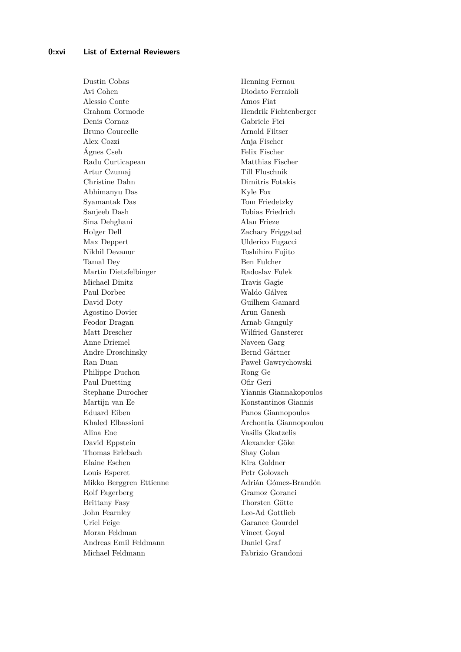Dustin Cobas Avi Cohen Alessio Conte Graham Cormode Denis Cornaz Bruno Courcelle Alex Cozzi Ágnes Cseh Radu Curticapean Artur Czumaj Christine Dahn Abhimanyu Das Syamantak Das Sanjeeb Dash Sina Dehghani Holger Dell Max Deppert Nikhil Devanur Tamal Dey Martin Dietzfelbinger Michael Dinitz Paul Dorbec David Doty Agostino Dovier Feodor Dragan Matt Drescher Anne Driemel Andre Droschinsky Ran Duan Philippe Duchon Paul Duetting Stephane Durocher Martijn van Ee Eduard Eiben Khaled Elbassioni Alina Ene David Eppstein Thomas Erlebach Elaine Eschen Louis Esperet Mikko Berggren Ettienne Rolf Fagerberg Brittany Fasy John Fearnley Uriel Feige Moran Feldman Andreas Emil Feldmann Michael Feldmann

Henning Fernau Diodato Ferraioli Amos Fiat Hendrik Fichtenberger Gabriele Fici Arnold Filtser Anja Fischer Felix Fischer Matthias Fischer Till Fluschnik Dimitris Fotakis Kyle Fox Tom Friedetzky Tobias Friedrich Alan Frieze Zachary Friggstad Ulderico Fugacci Toshihiro Fujito Ben Fulcher Radoslav Fulek Travis Gagie Waldo Gálvez Guilhem Gamard Arun Ganesh Arnab Ganguly Wilfried Gansterer Naveen Garg Bernd Gärtner Paweł Gawrychowski Rong Ge Ofir Geri Yiannis Giannakopoulos Konstantinos Giannis Panos Giannopoulos Archontia Giannopoulou Vasilis Gkatzelis Alexander Göke Shay Golan Kira Goldner Petr Golovach Adrián Gómez-Brandón Gramoz Goranci Thorsten Götte Lee-Ad Gottlieb Garance Gourdel Vineet Goyal Daniel Graf Fabrizio Grandoni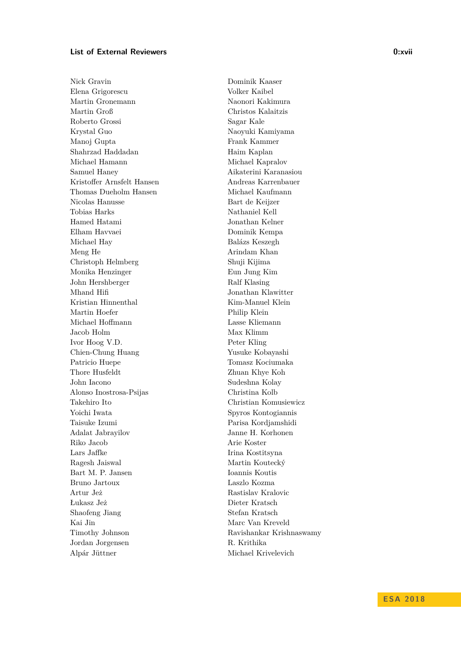#### **List of External Reviewers 0:xvii**

Nick Gravin Elena Grigorescu Martin Gronemann Martin Groß Roberto Grossi Krystal Guo Manoj Gupta Shahrzad Haddadan Michael Hamann Samuel Haney Kristoffer Arnsfelt Hansen Thomas Dueholm Hansen Nicolas Hanusse Tobias Harks Hamed Hatami Elham Havvaei Michael Hay Meng He Christoph Helmberg Monika Henzinger John Hershberger Mhand Hifi Kristian Hinnenthal Martin Hoefer Michael Hoffmann Jacob Holm Ivor Hoog V.D. Chien-Chung Huang Patricio Huepe Thore Husfeldt John Iacono Alonso Inostrosa-Psijas Takehiro Ito Yoichi Iwata Taisuke Izumi Adalat Jabrayilov Riko Jacob Lars Jaffke Ragesh Jaiswal Bart M. P. Jansen Bruno Jartoux Artur Jeż Łukasz Jeż Shaofeng Jiang Kai Jin Timothy Johnson Jordan Jorgensen Alpár Jüttner

Dominik Kaaser Volker Kaibel Naonori Kakimura Christos Kalaitzis Sagar Kale Naoyuki Kamiyama Frank Kammer Haim Kaplan Michael Kapralov Aikaterini Karanasiou Andreas Karrenbauer Michael Kaufmann Bart de Keijzer Nathaniel Kell Jonathan Kelner Dominik Kempa Balázs Keszegh Arindam Khan Shuji Kijima Eun Jung Kim Ralf Klasing Jonathan Klawitter Kim-Manuel Klein Philip Klein Lasse Kliemann Max Klimm Peter Kling Yusuke Kobayashi Tomasz Kociumaka Zhuan Khye Koh Sudeshna Kolay Christina Kolb Christian Komusiewicz Spyros Kontogiannis Parisa Kordjamshidi Janne H. Korhonen Arie Koster Irina Kostitsyna Martin Koutecký Ioannis Koutis Laszlo Kozma Rastislav Kralovic Dieter Kratsch Stefan Kratsch Marc Van Kreveld Ravishankar Krishnaswamy R. Krithika Michael Krivelevich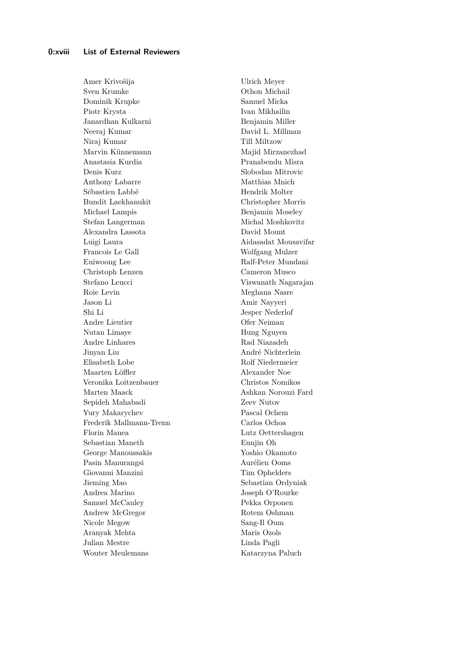Amer Krivošija Sven Krumke Dominik Krupke Piotr Krysta Janardhan Kulkarni Neeraj Kumar Niraj Kumar Marvin Künnemann Anastasia Kurdia Denis Kurz Anthony Labarre Sébastien Labbé Bundit Laekhanukit Michael Lampis Stefan Langerman Alexandra Lassota Luigi Laura Francois Le Gall Euiwoong Lee Christoph Lenzen Stefano Leucci Roie Levin Jason Li Shi Li Andre Lieutier Nutan Limaye Andre Linhares Jinyan Liu Elisabeth Lobe Maarten Löffler Veronika Loitzenbauer Marten Maack Sepideh Mahabadi Yury Makarychev Frederik Mallmann-Trenn Florin Manea Sebastian Maneth George Manoussakis Pasin Manurangsi Giovanni Manzini Jieming Mao Andrea Marino Samuel McCauley Andrew McGregor Nicole Megow Aranyak Mehta Julian Mestre Wouter Meulemans

Ulrich Meyer Othon Michail Samuel Micka Ivan Mikhailin Benjamin Miller David L. Millman Till Miltzow Majid Mirzanezhad Pranabendu Misra Slobodan Mitrovic Matthias Mnich Hendrik Molter Christopher Morris Benjamin Moseley Michal Moshkovitz David Mount Aidasadat Mousavifar Wolfgang Mulzer Ralf-Peter Mundani Cameron Musco Viswanath Nagarajan Meghana Nasre Amir Nayyeri Jesper Nederlof Ofer Neiman Hung Nguyen Rad Niazadeh André Nichterlein Rolf Niedermeier Alexander Noe Christos Nomikos Ashkan Norouzi Fard Zeev Nutov Pascal Ochem Carlos Ochoa Lutz Oettershagen Eunjin Oh Yoshio Okamoto Aurélien Ooms Tim Ophelders Sebastian Ordyniak Joseph O'Rourke Pekka Orponen Rotem Oshman Sang-Il Oum Maris Ozols Linda Pagli Katarzyna Paluch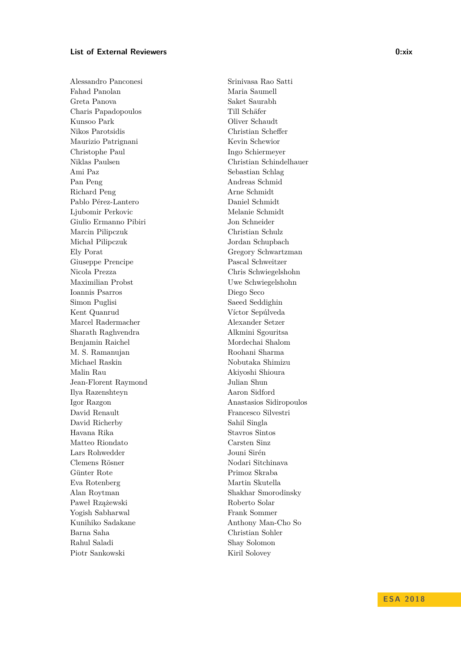#### **List of External Reviewers 0:xix**

Alessandro Panconesi Fahad Panolan Greta Panova Charis Papadopoulos Kunsoo Park Nikos Parotsidis Maurizio Patrignani Christophe Paul Niklas Paulsen Ami Paz Pan Peng Richard Peng Pablo Pérez-Lantero Ljubomir Perkovic Giulio Ermanno Pibiri Marcin Pilipczuk Michał Pilipczuk Ely Porat Giuseppe Prencipe Nicola Prezza Maximilian Probst Ioannis Psarros Simon Puglisi Kent Quanrud Marcel Radermacher Sharath Raghvendra Benjamin Raichel M. S. Ramanujan Michael Raskin Malin Rau Jean-Florent Raymond Ilya Razenshteyn Igor Razgon David Renault David Richerby Havana Rika Matteo Riondato Lars Rohwedder Clemens Rösner Günter Rote Eva Rotenberg Alan Roytman Paweł Rzążewski Yogish Sabharwal Kunihiko Sadakane Barna Saha Rahul Saladi Piotr Sankowski

Srinivasa Rao Satti Maria Saumell Saket Saurabh Till Schäfer Oliver Schaudt Christian Scheffer Kevin Schewior Ingo Schiermeyer Christian Schindelhauer Sebastian Schlag Andreas Schmid Arne Schmidt Daniel Schmidt Melanie Schmidt Jon Schneider Christian Schulz Jordan Schupbach Gregory Schwartzman Pascal Schweitzer Chris Schwiegelshohn Uwe Schwiegelshohn Diego Seco Saeed Seddighin Víctor Sepúlveda Alexander Setzer Alkmini Sgouritsa Mordechai Shalom Roohani Sharma Nobutaka Shimizu Akiyoshi Shioura Julian Shun Aaron Sidford Anastasios Sidiropoulos Francesco Silvestri Sahil Singla Stavros Sintos Carsten Sinz Jouni Sirén Nodari Sitchinava Primoz Skraba Martin Skutella Shakhar Smorodinsky Roberto Solar Frank Sommer Anthony Man-Cho So Christian Sohler Shay Solomon Kiril Solovey